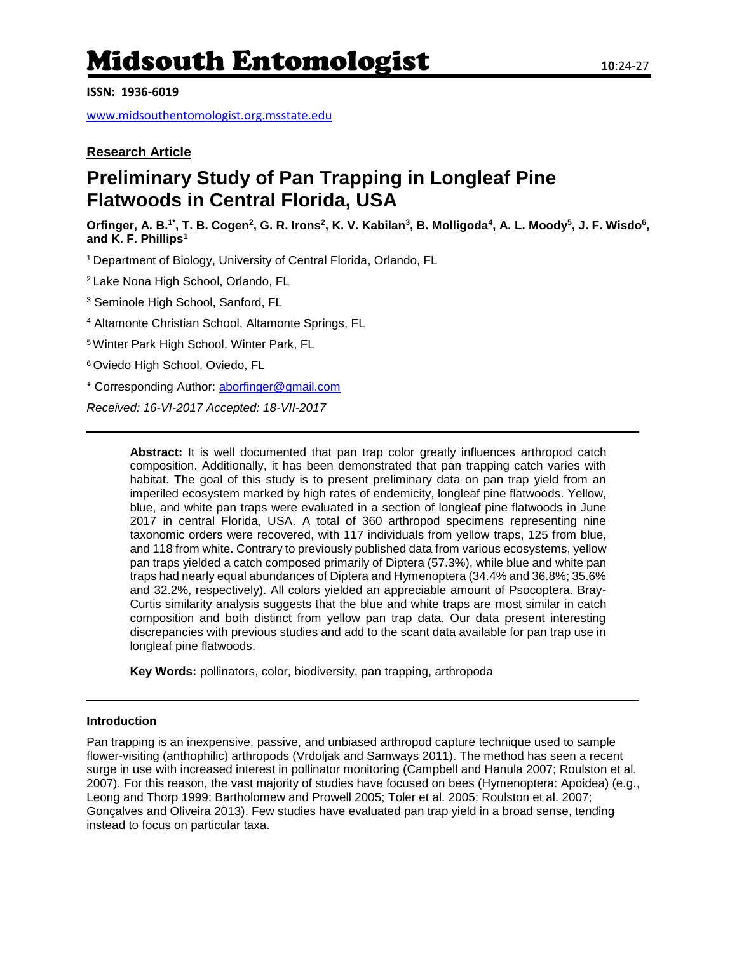# Midsouth Entomologist **<sup>10</sup>**:24-27

**ISSN: 1936-6019**

[www.midsouthentomologist.org.msstate.edu](http://www.midsouthentomologist.org.msstate.edu/)

### **Research Article**

## **Preliminary Study of Pan Trapping in Longleaf Pine Flatwoods in Central Florida, USA**

Orfinger, A. B.<sup>1\*</sup>, T. B. Cogen<sup>2</sup>, G. R. Irons<sup>2</sup>, K. V. Kabilan<sup>3</sup>, B. Molligoda<sup>4</sup>, A. L. Moody<sup>5</sup>, J. F. Wisdo<sup>6</sup>, **and K. F. Phillips<sup>1</sup>**

<sup>1</sup>Department of Biology, University of Central Florida, Orlando, FL

<sup>2</sup>Lake Nona High School, Orlando, FL

<sup>3</sup> Seminole High School, Sanford, FL

<sup>4</sup> Altamonte Christian School, Altamonte Springs, FL

<sup>5</sup>Winter Park High School, Winter Park, FL

<sup>6</sup> Oviedo High School, Oviedo, FL

\* Corresponding Author: [aborfinger@gmail.com](mailto:aborfinger@gmail.com)

*Received: 16-VI-2017 Accepted: 18-VII-2017*

**Abstract:** It is well documented that pan trap color greatly influences arthropod catch composition. Additionally, it has been demonstrated that pan trapping catch varies with habitat. The goal of this study is to present preliminary data on pan trap yield from an imperiled ecosystem marked by high rates of endemicity, longleaf pine flatwoods. Yellow, blue, and white pan traps were evaluated in a section of longleaf pine flatwoods in June 2017 in central Florida, USA. A total of 360 arthropod specimens representing nine taxonomic orders were recovered, with 117 individuals from yellow traps, 125 from blue, and 118 from white. Contrary to previously published data from various ecosystems, yellow pan traps yielded a catch composed primarily of Diptera (57.3%), while blue and white pan traps had nearly equal abundances of Diptera and Hymenoptera (34.4% and 36.8%; 35.6% and 32.2%, respectively). All colors yielded an appreciable amount of Psocoptera. Bray-Curtis similarity analysis suggests that the blue and white traps are most similar in catch composition and both distinct from yellow pan trap data. Our data present interesting discrepancies with previous studies and add to the scant data available for pan trap use in longleaf pine flatwoods.

**Key Words:** pollinators, color, biodiversity, pan trapping, arthropoda

#### **Introduction**

Pan trapping is an inexpensive, passive, and unbiased arthropod capture technique used to sample flower-visiting (anthophilic) arthropods (Vrdoljak and Samways 2011). The method has seen a recent surge in use with increased interest in pollinator monitoring (Campbell and Hanula 2007; Roulston et al. 2007). For this reason, the vast majority of studies have focused on bees (Hymenoptera: Apoidea) (e.g., Leong and Thorp 1999; Bartholomew and Prowell 2005; Toler et al. 2005; Roulston et al. 2007; Gonçalves and Oliveira 2013). Few studies have evaluated pan trap yield in a broad sense, tending instead to focus on particular taxa.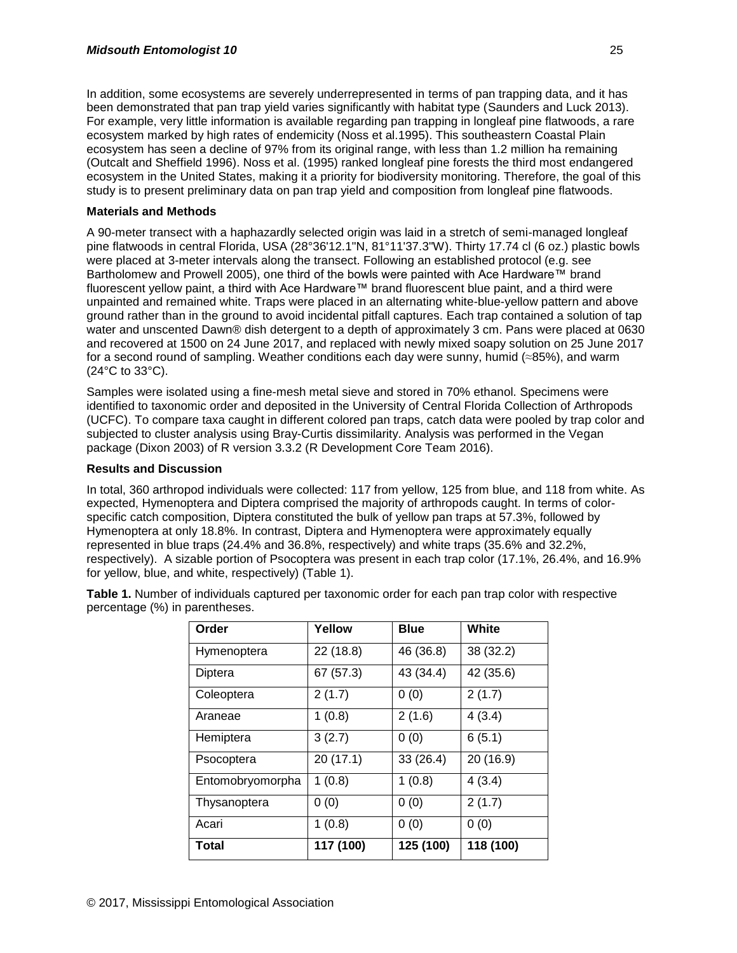In addition, some ecosystems are severely underrepresented in terms of pan trapping data, and it has been demonstrated that pan trap yield varies significantly with habitat type (Saunders and Luck 2013). For example, very little information is available regarding pan trapping in longleaf pine flatwoods, a rare ecosystem marked by high rates of endemicity (Noss et al.1995). This southeastern Coastal Plain ecosystem has seen a decline of 97% from its original range, with less than 1.2 million ha remaining (Outcalt and Sheffield 1996). Noss et al. (1995) ranked longleaf pine forests the third most endangered ecosystem in the United States, making it a priority for biodiversity monitoring. Therefore, the goal of this study is to present preliminary data on pan trap yield and composition from longleaf pine flatwoods.

#### **Materials and Methods**

A 90-meter transect with a haphazardly selected origin was laid in a stretch of semi-managed longleaf pine flatwoods in central Florida, USA (28°36'12.1"N, 81°11'37.3"W). Thirty 17.74 cl (6 oz.) plastic bowls were placed at 3-meter intervals along the transect. Following an established protocol (e.g. see Bartholomew and Prowell 2005), one third of the bowls were painted with Ace Hardware™ brand fluorescent yellow paint, a third with Ace Hardware™ brand fluorescent blue paint, and a third were unpainted and remained white. Traps were placed in an alternating white-blue-yellow pattern and above ground rather than in the ground to avoid incidental pitfall captures. Each trap contained a solution of tap water and unscented Dawn® dish detergent to a depth of approximately 3 cm. Pans were placed at 0630 and recovered at 1500 on 24 June 2017, and replaced with newly mixed soapy solution on 25 June 2017 for a second round of sampling. Weather conditions each day were sunny, humid (≈85%), and warm (24°C to 33°C).

Samples were isolated using a fine-mesh metal sieve and stored in 70% ethanol. Specimens were identified to taxonomic order and deposited in the University of Central Florida Collection of Arthropods (UCFC). To compare taxa caught in different colored pan traps, catch data were pooled by trap color and subjected to cluster analysis using Bray-Curtis dissimilarity. Analysis was performed in the Vegan package (Dixon 2003) of R version 3.3.2 (R Development Core Team 2016).

#### **Results and Discussion**

In total, 360 arthropod individuals were collected: 117 from yellow, 125 from blue, and 118 from white. As expected, Hymenoptera and Diptera comprised the majority of arthropods caught. In terms of colorspecific catch composition, Diptera constituted the bulk of yellow pan traps at 57.3%, followed by Hymenoptera at only 18.8%. In contrast, Diptera and Hymenoptera were approximately equally represented in blue traps (24.4% and 36.8%, respectively) and white traps (35.6% and 32.2%, respectively). A sizable portion of Psocoptera was present in each trap color (17.1%, 26.4%, and 16.9% for yellow, blue, and white, respectively) (Table 1).

| Order            | Yellow    | <b>Blue</b> | White     |
|------------------|-----------|-------------|-----------|
| Hymenoptera      | 22 (18.8) | 46 (36.8)   | 38 (32.2) |
| Diptera          | 67(57.3)  | 43 (34.4)   | 42 (35.6) |
| Coleoptera       | 2(1.7)    | 0(0)        | 2(1.7)    |
| Araneae          | 1(0.8)    | 2(1.6)      | 4(3.4)    |
| Hemiptera        | 3(2.7)    | 0(0)        | 6(5.1)    |
| Psocoptera       | 20(17.1)  | 33(26.4)    | 20 (16.9) |
| Entomobryomorpha | 1(0.8)    | 1(0.8)      | 4(3.4)    |
| Thysanoptera     | 0(0)      | 0(0)        | 2(1.7)    |
| Acari            | 1(0.8)    | 0(0)        | 0(0)      |
| Total            | 117 (100) | 125 (100)   | 118 (100) |

**Table 1.** Number of individuals captured per taxonomic order for each pan trap color with respective percentage (%) in parentheses.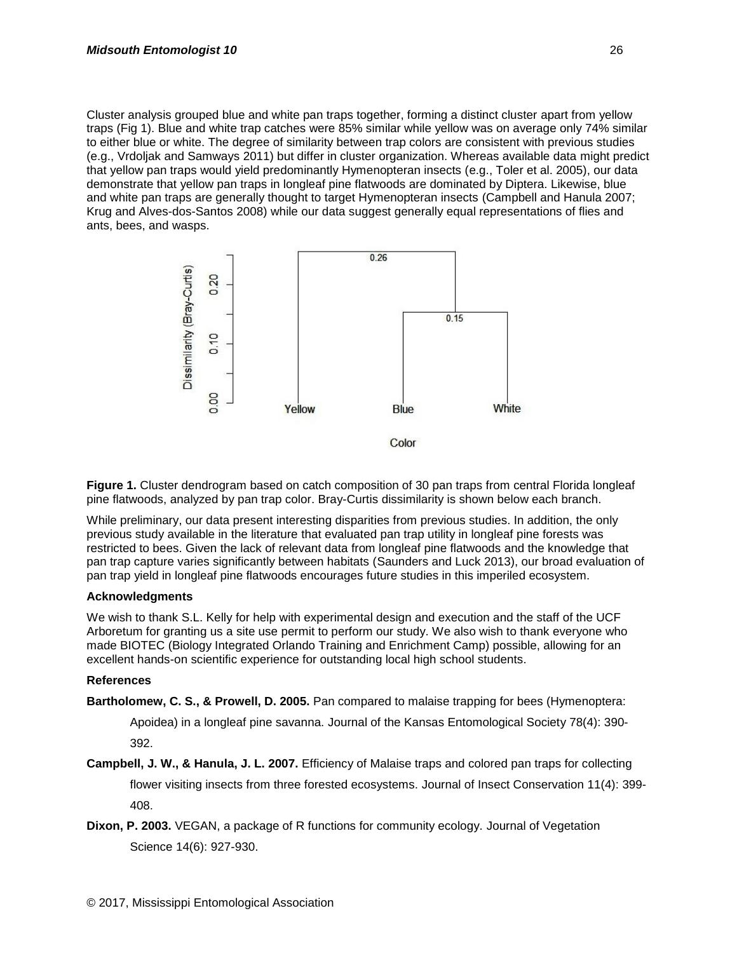Cluster analysis grouped blue and white pan traps together, forming a distinct cluster apart from yellow traps (Fig 1). Blue and white trap catches were 85% similar while yellow was on average only 74% similar to either blue or white. The degree of similarity between trap colors are consistent with previous studies (e.g., Vrdoljak and Samways 2011) but differ in cluster organization. Whereas available data might predict that yellow pan traps would yield predominantly Hymenopteran insects (e.g., Toler et al. 2005), our data demonstrate that yellow pan traps in longleaf pine flatwoods are dominated by Diptera. Likewise, blue and white pan traps are generally thought to target Hymenopteran insects (Campbell and Hanula 2007; Krug and Alves-dos-Santos 2008) while our data suggest generally equal representations of flies and ants, bees, and wasps.



**Figure 1.** Cluster dendrogram based on catch composition of 30 pan traps from central Florida longleaf pine flatwoods, analyzed by pan trap color. Bray-Curtis dissimilarity is shown below each branch.

While preliminary, our data present interesting disparities from previous studies. In addition, the only previous study available in the literature that evaluated pan trap utility in longleaf pine forests was restricted to bees. Given the lack of relevant data from longleaf pine flatwoods and the knowledge that pan trap capture varies significantly between habitats (Saunders and Luck 2013), our broad evaluation of pan trap yield in longleaf pine flatwoods encourages future studies in this imperiled ecosystem.

#### **Acknowledgments**

We wish to thank S.L. Kelly for help with experimental design and execution and the staff of the UCF Arboretum for granting us a site use permit to perform our study. We also wish to thank everyone who made BIOTEC (Biology Integrated Orlando Training and Enrichment Camp) possible, allowing for an excellent hands-on scientific experience for outstanding local high school students.

#### **References**

**Bartholomew, C. S., & Prowell, D. 2005.** Pan compared to malaise trapping for bees (Hymenoptera:

Apoidea) in a longleaf pine savanna. Journal of the Kansas Entomological Society 78(4): 390- 392.

**Campbell, J. W., & Hanula, J. L. 2007.** Efficiency of Malaise traps and colored pan traps for collecting flower visiting insects from three forested ecosystems. Journal of Insect Conservation 11(4): 399- 408.

**Dixon, P. 2003.** VEGAN, a package of R functions for community ecology. Journal of Vegetation Science 14(6): 927-930.